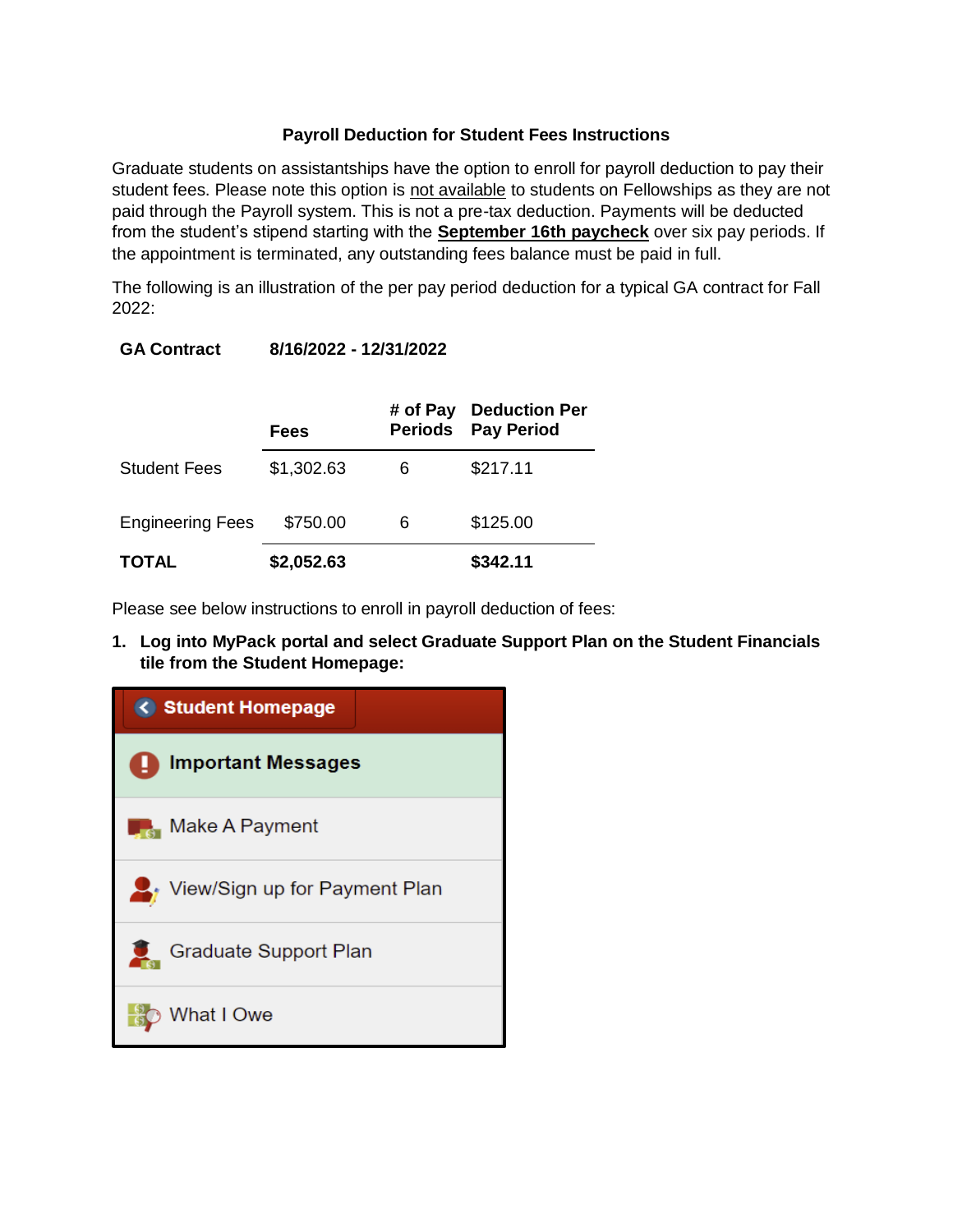## **Payroll Deduction for Student Fees Instructions**

Graduate students on assistantships have the option to enroll for payroll deduction to pay their student fees. Please note this option is not available to students on Fellowships as they are not paid through the Payroll system. This is not a pre-tax deduction. Payments will be deducted from the student's stipend starting with the **September 16th paycheck** over six pay periods. If the appointment is terminated, any outstanding fees balance must be paid in full.

The following is an illustration of the per pay period deduction for a typical GA contract for Fall 2022:

# **GA Contract 8/16/2022 - 12/31/2022**

|                         | <b>Fees</b> |   | # of Pay Deduction Per<br><b>Periods</b> Pay Period |
|-------------------------|-------------|---|-----------------------------------------------------|
| <b>Student Fees</b>     | \$1,302.63  | 6 | \$217.11                                            |
| <b>Engineering Fees</b> | \$750.00    | 6 | \$125.00                                            |
| <b>TOTAL</b>            | \$2,052.63  |   | \$342.11                                            |

Please see below instructions to enroll in payroll deduction of fees:

**1. Log into MyPack portal and select Graduate Support Plan on the Student Financials tile from the Student Homepage:**

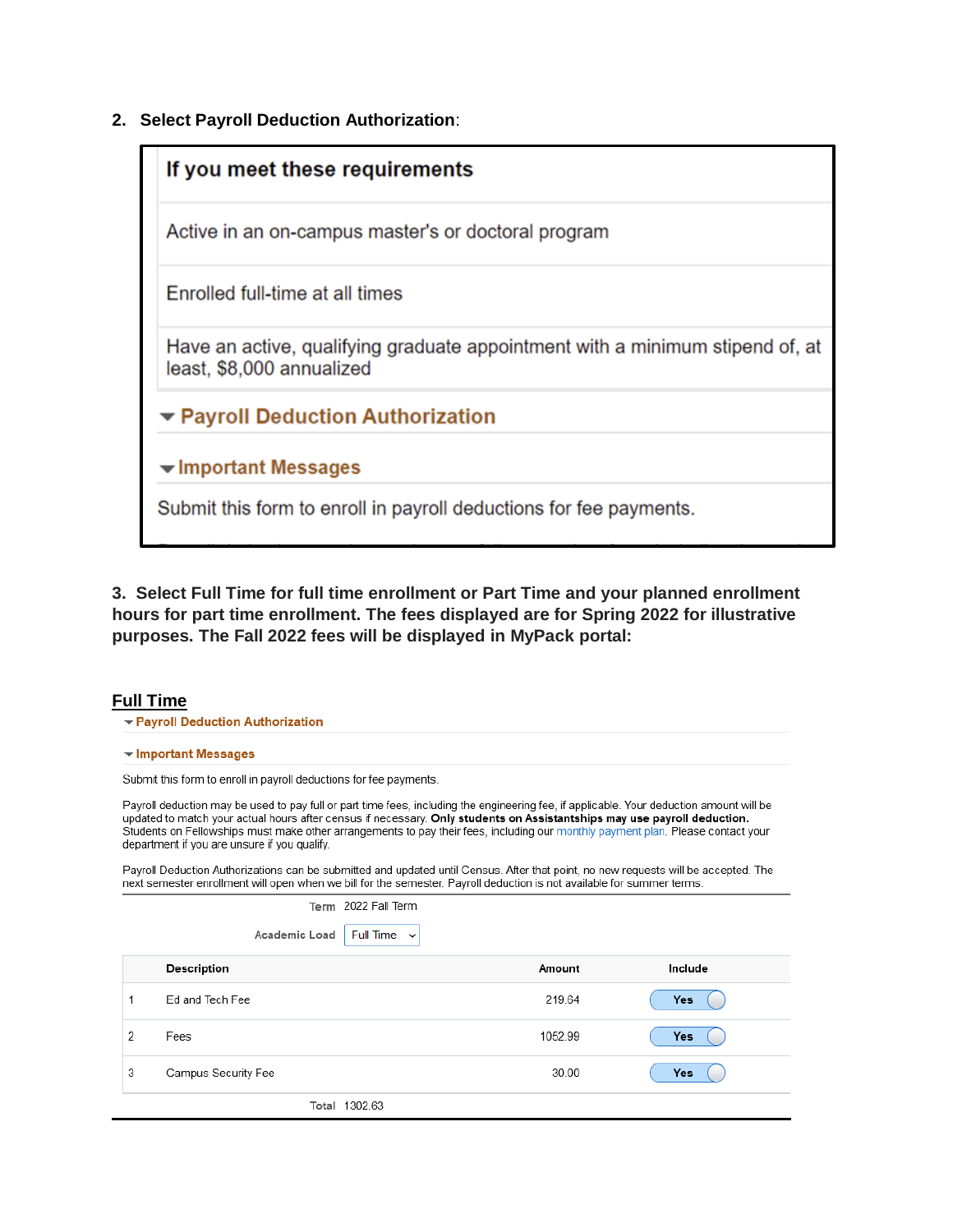**2. Select Payroll Deduction Authorization**:



**3. Select Full Time for full time enrollment or Part Time and your planned enrollment hours for part time enrollment. The fees displayed are for Spring 2022 for illustrative purposes. The Fall 2022 fees will be displayed in MyPack portal:**

## **Full Time**

- ▼ Payroll Deduction Authorization
- ▼ Important Messages

Submit this form to enroll in payroll deductions for fee payments.

Payroll deduction may be used to pay full or part time fees, including the engineering fee, if applicable. Your deduction amount will be updated to match your actual hours after census if necessary. Only students on Assistantships may use payroll deduction. Students on Fellowships must make other arrangements to pay their fees, including our monthly payment plan. Please contact your department if you are unsure if you qualify.

Payroll Deduction Authorizations can be submitted and updated until Census. After that point, no new requests will be accepted. The next semester enrollment will open when we bill for the semester. Payroll deduction is not available for summer terms.

 $0.000 - 07$ 

|   | lerm 2022 Fall lerm               |         |            |
|---|-----------------------------------|---------|------------|
|   | Academic Load<br>Full Time $\sim$ |         |            |
|   | Description                       | Amount  | Include    |
|   | Ed and Tech Fee                   | 219.64  | <b>Yes</b> |
| 2 | Fees                              | 1052.99 | <b>Yes</b> |
| 3 | Campus Security Fee               | 30.00   | <b>Yes</b> |
|   | Total 1302.63                     |         |            |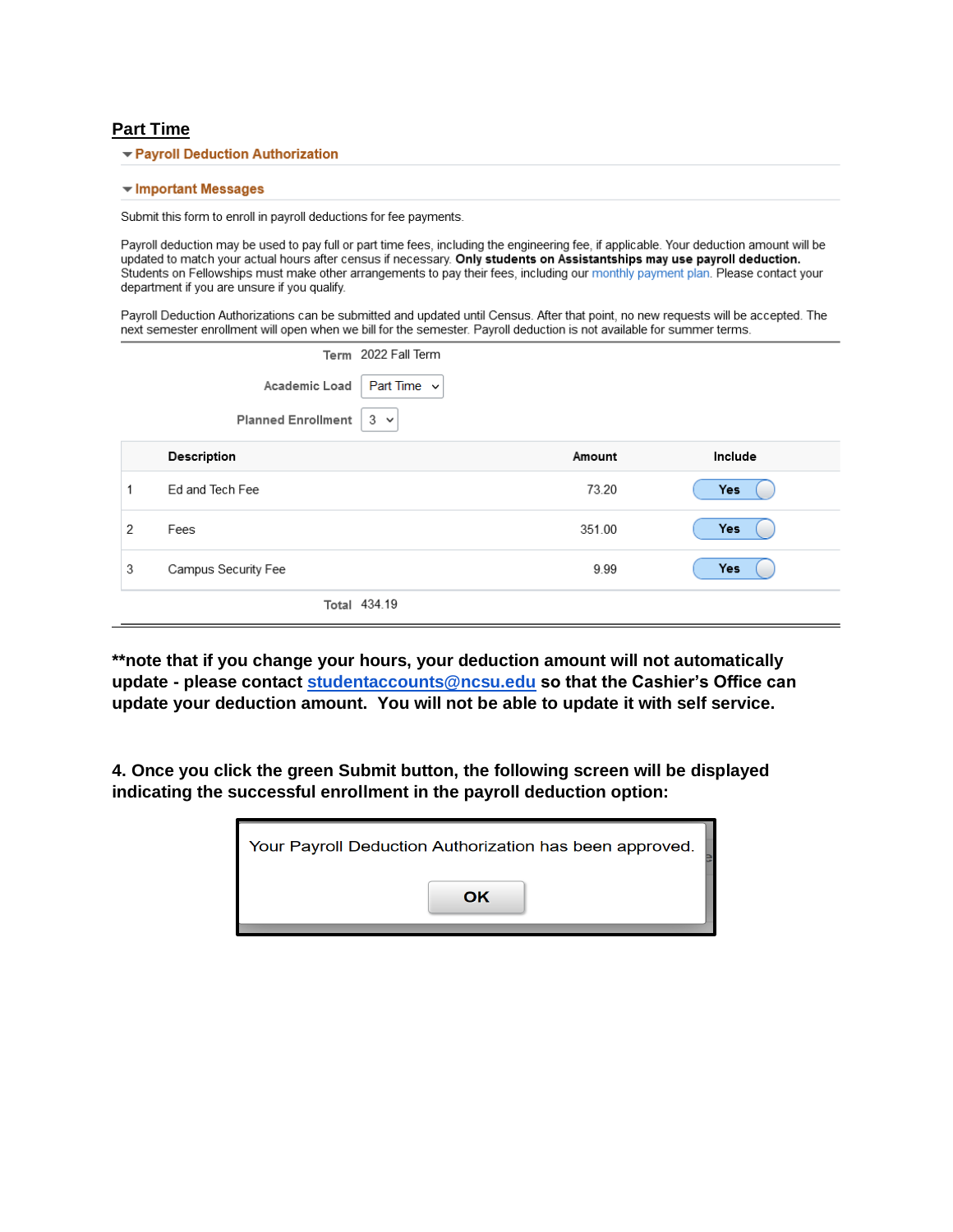### **Part Time**

▼ Payroll Deduction Authorization

#### $\blacktriangleright$  Important Messages

Submit this form to enroll in payroll deductions for fee payments.

Payroll deduction may be used to pay full or part time fees, including the engineering fee, if applicable. Your deduction amount will be updated to match your actual hours after census if necessary. Only students on Assistantships may use payroll deduction. Students on Fellowships must make other arrangements to pay their fees, including our monthly payment plan. Please contact your department if you are unsure if you qualify.

Payroll Deduction Authorizations can be submitted and updated until Census. After that point, no new requests will be accepted. The next semester enrollment will open when we bill for the semester. Payroll deduction is not available for summer terms.

|   |                           | Term 2022 Fall Term |            |
|---|---------------------------|---------------------|------------|
|   | Academic Load             | Part Time $\sim$    |            |
|   | <b>Planned Enrollment</b> | $3 \times$          |            |
|   | Description               | Amount              | Include    |
| 1 | Ed and Tech Fee           | 73.20               | <b>Yes</b> |
| 2 | Fees                      | 351.00              | <b>Yes</b> |
| 3 | Campus Security Fee       | 9.99                | <b>Yes</b> |
|   |                           | Total 434.19        |            |

**\*\*note that if you change your hours, your deduction amount will not automatically update - please contact [studentaccounts@ncsu.edu](mailto:student_accounts@ncsu.edu) so that the Cashier's Office can update your deduction amount. You will not be able to update it with self service.**

**4. Once you click the green Submit button, the following screen will be displayed indicating the successful enrollment in the payroll deduction option:**

| Your Payroll Deduction Authorization has been approved. |
|---------------------------------------------------------|
| OK                                                      |